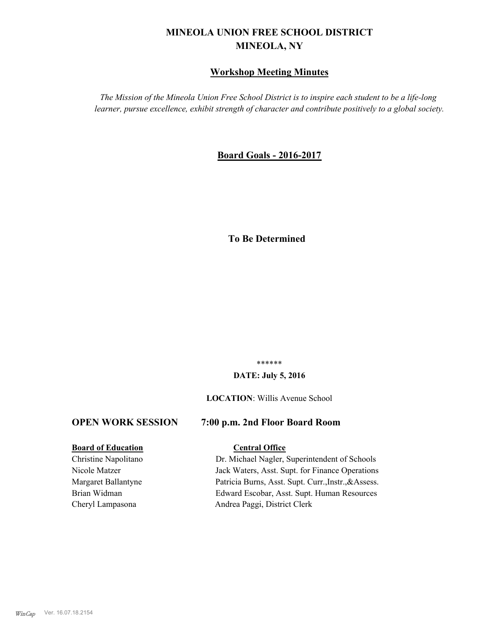# **MINEOLA UNION FREE SCHOOL DISTRICT MINEOLA, NY**

# **Workshop Meeting Minutes**

*The Mission of the Mineola Union Free School District is to inspire each student to be a life-long learner, pursue excellence, exhibit strength of character and contribute positively to a global society.*

# **Board Goals - 2016-2017**

# **To Be Determined**

\*\*\*\*\*\*

#### **DATE: July 5, 2016**

#### **LOCATION**: Willis Avenue School

#### **OPEN WORK SESSION 7:00 p.m. 2nd Floor Board Room**

# **Board of Education Central Office**

Christine Napolitano Dr. Michael Nagler, Superintendent of Schools Nicole Matzer Jack Waters, Asst. Supt. for Finance Operations Margaret Ballantyne Patricia Burns, Asst. Supt. Curr.,Instr.,&Assess. Brian Widman Edward Escobar, Asst. Supt. Human Resources Cheryl Lampasona Andrea Paggi, District Clerk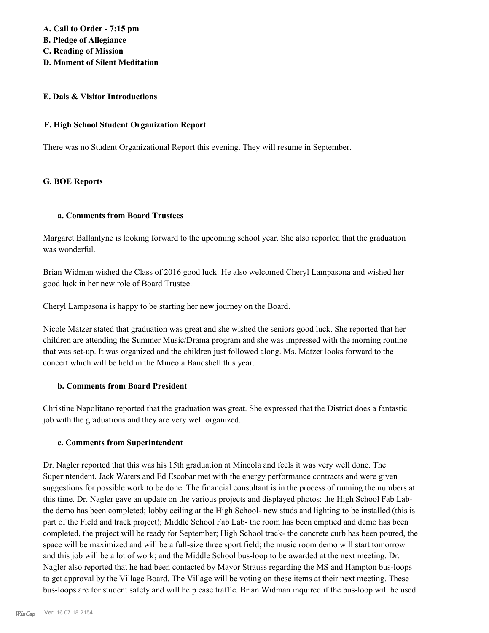#### **E. Dais & Visitor Introductions**

#### **F. High School Student Organization Report**

There was no Student Organizational Report this evening. They will resume in September.

### **G. BOE Reports**

#### **a. Comments from Board Trustees**

Margaret Ballantyne is looking forward to the upcoming school year. She also reported that the graduation was wonderful.

Brian Widman wished the Class of 2016 good luck. He also welcomed Cheryl Lampasona and wished her good luck in her new role of Board Trustee.

Cheryl Lampasona is happy to be starting her new journey on the Board.

Nicole Matzer stated that graduation was great and she wished the seniors good luck. She reported that her children are attending the Summer Music/Drama program and she was impressed with the morning routine that was set-up. It was organized and the children just followed along. Ms. Matzer looks forward to the concert which will be held in the Mineola Bandshell this year.

#### **b. Comments from Board President**

Christine Napolitano reported that the graduation was great. She expressed that the District does a fantastic job with the graduations and they are very well organized.

### **c. Comments from Superintendent**

Dr. Nagler reported that this was his 15th graduation at Mineola and feels it was very well done. The Superintendent, Jack Waters and Ed Escobar met with the energy performance contracts and were given suggestions for possible work to be done. The financial consultant is in the process of running the numbers at this time. Dr. Nagler gave an update on the various projects and displayed photos: the High School Fab Labthe demo has been completed; lobby ceiling at the High School- new studs and lighting to be installed (this is part of the Field and track project); Middle School Fab Lab- the room has been emptied and demo has been completed, the project will be ready for September; High School track- the concrete curb has been poured, the space will be maximized and will be a full-size three sport field; the music room demo will start tomorrow and this job will be a lot of work; and the Middle School bus-loop to be awarded at the next meeting. Dr. Nagler also reported that he had been contacted by Mayor Strauss regarding the MS and Hampton bus-loops to get approval by the Village Board. The Village will be voting on these items at their next meeting. These bus-loops are for student safety and will help ease traffic. Brian Widman inquired if the bus-loop will be used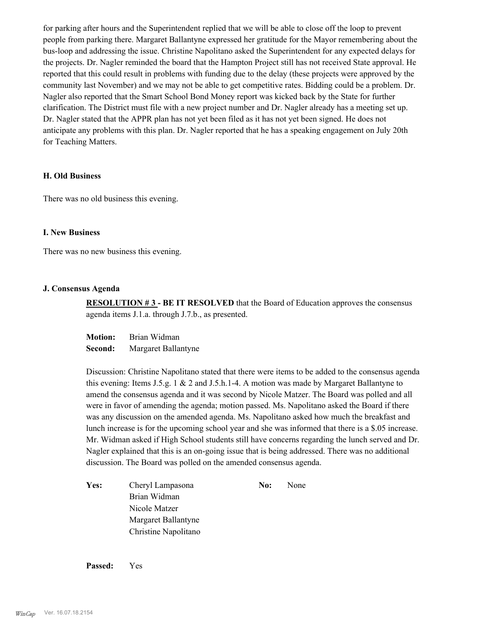for parking after hours and the Superintendent replied that we will be able to close off the loop to prevent people from parking there. Margaret Ballantyne expressed her gratitude for the Mayor remembering about the bus-loop and addressing the issue. Christine Napolitano asked the Superintendent for any expected delays for the projects. Dr. Nagler reminded the board that the Hampton Project still has not received State approval. He reported that this could result in problems with funding due to the delay (these projects were approved by the community last November) and we may not be able to get competitive rates. Bidding could be a problem. Dr. Nagler also reported that the Smart School Bond Money report was kicked back by the State for further clarification. The District must file with a new project number and Dr. Nagler already has a meeting set up. Dr. Nagler stated that the APPR plan has not yet been filed as it has not yet been signed. He does not anticipate any problems with this plan. Dr. Nagler reported that he has a speaking engagement on July 20th for Teaching Matters.

#### **H. Old Business**

There was no old business this evening.

#### **I. New Business**

There was no new business this evening.

#### **J. Consensus Agenda**

**RESOLUTION #3 - BE IT RESOLVED** that the Board of Education approves the consensus agenda items J.1.a. through J.7.b., as presented.

**Motion:** Brian Widman **Second:** Margaret Ballantyne

Discussion: Christine Napolitano stated that there were items to be added to the consensus agenda this evening: Items J.5.g. 1 & 2 and J.5.h.1-4. A motion was made by Margaret Ballantyne to amend the consensus agenda and it was second by Nicole Matzer. The Board was polled and all were in favor of amending the agenda; motion passed. Ms. Napolitano asked the Board if there was any discussion on the amended agenda. Ms. Napolitano asked how much the breakfast and lunch increase is for the upcoming school year and she was informed that there is a \$.05 increase. Mr. Widman asked if High School students still have concerns regarding the lunch served and Dr. Nagler explained that this is an on-going issue that is being addressed. There was no additional discussion. The Board was polled on the amended consensus agenda.

**Yes:** Cheryl Lampasona **No:** None Brian Widman Nicole Matzer Margaret Ballantyne Christine Napolitano

**Passed:** Yes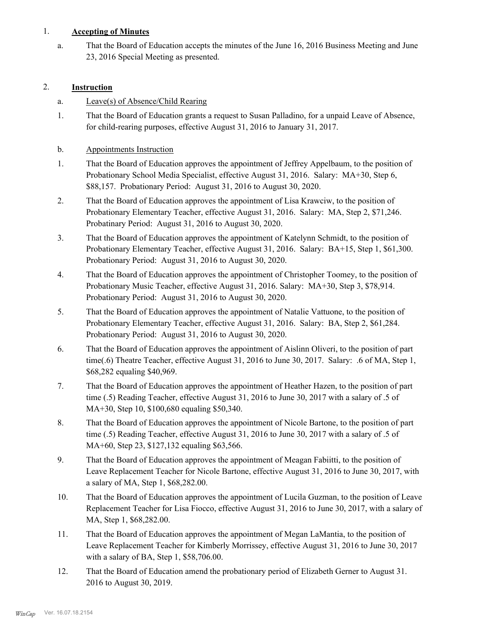# 1. **Accepting of Minutes**

That the Board of Education accepts the minutes of the June 16, 2016 Business Meeting and June 23, 2016 Special Meeting as presented. a.

# 2. **Instruction**

# a. Leave(s) of Absence/Child Rearing

That the Board of Education grants a request to Susan Palladino, for a unpaid Leave of Absence, for child-rearing purposes, effective August 31, 2016 to January 31, 2017. 1.

# b. Appointments Instruction

- That the Board of Education approves the appointment of Jeffrey Appelbaum, to the position of Probationary School Media Specialist, effective August 31, 2016. Salary: MA+30, Step 6, \$88,157. Probationary Period: August 31, 2016 to August 30, 2020. 1.
- That the Board of Education approves the appointment of Lisa Krawciw, to the position of Probationary Elementary Teacher, effective August 31, 2016. Salary: MA, Step 2, \$71,246. Probatinary Period: August 31, 2016 to August 30, 2020. 2.
- That the Board of Education approves the appointment of Katelynn Schmidt, to the position of Probationary Elementary Teacher, effective August 31, 2016. Salary: BA+15, Step 1, \$61,300. Probationary Period: August 31, 2016 to August 30, 2020. 3.
- That the Board of Education approves the appointment of Christopher Toomey, to the position of Probationary Music Teacher, effective August 31, 2016. Salary: MA+30, Step 3, \$78,914. Probationary Period: August 31, 2016 to August 30, 2020. 4.
- That the Board of Education approves the appointment of Natalie Vattuone, to the position of Probationary Elementary Teacher, effective August 31, 2016. Salary: BA, Step 2, \$61,284. Probationary Period: August 31, 2016 to August 30, 2020. 5.
- That the Board of Education approves the appointment of Aislinn Oliveri, to the position of part time(.6) Theatre Teacher, effective August 31, 2016 to June 30, 2017. Salary: .6 of MA, Step 1, \$68,282 equaling \$40,969. 6.
- That the Board of Education approves the appointment of Heather Hazen, to the position of part time (.5) Reading Teacher, effective August 31, 2016 to June 30, 2017 with a salary of .5 of MA+30, Step 10, \$100,680 equaling \$50,340. 7.
- That the Board of Education approves the appointment of Nicole Bartone, to the position of part time (.5) Reading Teacher, effective August 31, 2016 to June 30, 2017 with a salary of .5 of MA+60, Step 23, \$127,132 equaling \$63,566. 8.
- That the Board of Education approves the appointment of Meagan Fabiitti, to the position of Leave Replacement Teacher for Nicole Bartone, effective August 31, 2016 to June 30, 2017, with a salary of MA, Step 1, \$68,282.00. 9.
- That the Board of Education approves the appointment of Lucila Guzman, to the position of Leave Replacement Teacher for Lisa Fiocco, effective August 31, 2016 to June 30, 2017, with a salary of MA, Step 1, \$68,282.00. 10.
- That the Board of Education approves the appointment of Megan LaMantia, to the position of Leave Replacement Teacher for Kimberly Morrissey, effective August 31, 2016 to June 30, 2017 with a salary of BA, Step 1, \$58,706.00. 11.
- That the Board of Education amend the probationary period of Elizabeth Gerner to August 31. 2016 to August 30, 2019. 12.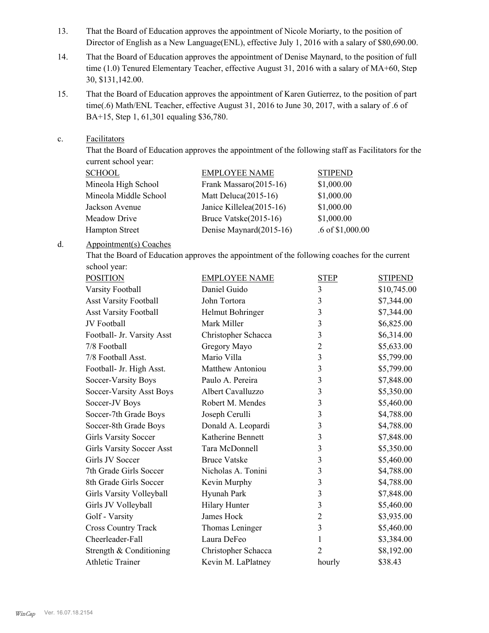- That the Board of Education approves the appointment of Nicole Moriarty, to the position of Director of English as a New Language(ENL), effective July 1, 2016 with a salary of \$80,690.00. 13.
- That the Board of Education approves the appointment of Denise Maynard, to the position of full time (1.0) Tenured Elementary Teacher, effective August 31, 2016 with a salary of MA+60, Step 30, \$131,142.00. 14.
- That the Board of Education approves the appointment of Karen Gutierrez, to the position of part time(.6) Math/ENL Teacher, effective August 31, 2016 to June 30, 2017, with a salary of .6 of BA+15, Step 1, 61,301 equaling \$36,780. 15.
- Facilitators c.

That the Board of Education approves the appointment of the following staff as Facilitators for the current school year:

| <b>SCHOOL</b>         | <b>EMPLOYEE NAME</b>     | <b>STIPEND</b>     |
|-----------------------|--------------------------|--------------------|
| Mineola High School   | Frank Massaro(2015-16)   | \$1,000.00         |
| Mineola Middle School | Matt Deluca $(2015-16)$  | \$1,000.00         |
| Jackson Avenue        | Janice Killelea(2015-16) | \$1,000.00         |
| Meadow Drive          | Bruce Vatske(2015-16)    | \$1,000.00         |
| <b>Hampton Street</b> | Denise Maynard(2015-16)  | $.6$ of \$1,000.00 |

#### Appointment(s) Coaches d.

That the Board of Education approves the appointment of the following coaches for the current school year:

| <b>POSITION</b>                  | <b>EMPLOYEE NAME</b>    | <b>STEP</b>    | <b>STIPEND</b> |
|----------------------------------|-------------------------|----------------|----------------|
| Varsity Football                 | Daniel Guido            | 3              | \$10,745.00    |
| <b>Asst Varsity Football</b>     | John Tortora            | 3              | \$7,344.00     |
| <b>Asst Varsity Football</b>     | Helmut Bohringer        | 3              | \$7,344.00     |
| JV Football                      | Mark Miller             | 3              | \$6,825.00     |
| Football- Jr. Varsity Asst       | Christopher Schacca     | 3              | \$6,314.00     |
| 7/8 Football                     | Gregory Mayo            | $\overline{2}$ | \$5,633.00     |
| 7/8 Football Asst.               | Mario Villa             | 3              | \$5,799.00     |
| Football- Jr. High Asst.         | <b>Matthew Antoniou</b> | 3              | \$5,799.00     |
| Soccer-Varsity Boys              | Paulo A. Pereira        | 3              | \$7,848.00     |
| Soccer-Varsity Asst Boys         | Albert Cavalluzzo       | 3              | \$5,350.00     |
| Soccer-JV Boys                   | Robert M. Mendes        | 3              | \$5,460.00     |
| Soccer-7th Grade Boys            | Joseph Cerulli          | 3              | \$4,788.00     |
| Soccer-8th Grade Boys            | Donald A. Leopardi      | 3              | \$4,788.00     |
| <b>Girls Varsity Soccer</b>      | Katherine Bennett       | 3              | \$7,848.00     |
| <b>Girls Varsity Soccer Asst</b> | Tara McDonnell          | 3              | \$5,350.00     |
| Girls JV Soccer                  | <b>Bruce Vatske</b>     | 3              | \$5,460.00     |
| 7th Grade Girls Soccer           | Nicholas A. Tonini      | 3              | \$4,788.00     |
| 8th Grade Girls Soccer           | Kevin Murphy            | 3              | \$4,788.00     |
| Girls Varsity Volleyball         | Hyunah Park             | 3              | \$7,848.00     |
| Girls JV Volleyball              | <b>Hilary Hunter</b>    | 3              | \$5,460.00     |
| Golf - Varsity                   | James Hock              | $\overline{2}$ | \$3,935.00     |
| <b>Cross Country Track</b>       | Thomas Leninger         | $\overline{3}$ | \$5,460.00     |
| Cheerleader-Fall                 | Laura DeFeo             | 1              | \$3,384.00     |
| Strength & Conditioning          | Christopher Schacca     | 2              | \$8,192.00     |
| <b>Athletic Trainer</b>          | Kevin M. LaPlatney      | hourly         | \$38.43        |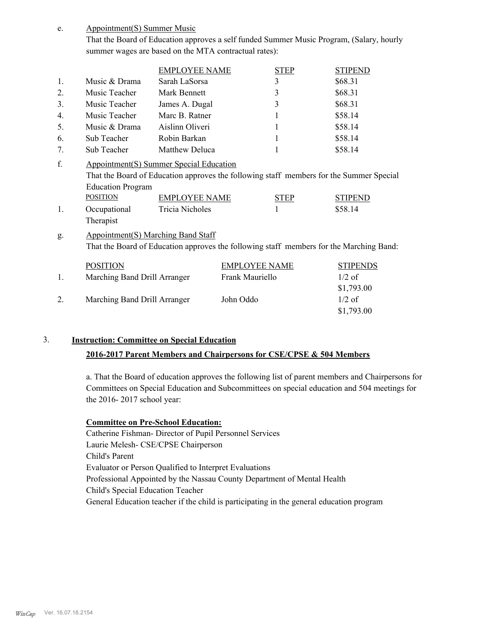Appointment(S) Summer Music e.

> That the Board of Education approves a self funded Summer Music Program, (Salary, hourly summer wages are based on the MTA contractual rates):

|                      |                                                                                                                                      | <b>EMPLOYEE NAME</b>                    |                      | <b>STEP</b> | <b>STIPEND</b>                                                                                                       |
|----------------------|--------------------------------------------------------------------------------------------------------------------------------------|-----------------------------------------|----------------------|-------------|----------------------------------------------------------------------------------------------------------------------|
| 1.                   | Music & Drama                                                                                                                        | Sarah LaSorsa                           |                      | 3           | \$68.31                                                                                                              |
| 2.                   | Music Teacher                                                                                                                        | Mark Bennett                            |                      | 3           | \$68.31                                                                                                              |
| 3.                   | Music Teacher                                                                                                                        | James A. Dugal                          |                      | 3           | \$68.31                                                                                                              |
| 4.                   | Music Teacher                                                                                                                        | Marc B. Ratner                          |                      | 1           | \$58.14                                                                                                              |
| 5.                   | Music & Drama                                                                                                                        | Aislinn Oliveri                         |                      | 1           | \$58.14                                                                                                              |
| 6.                   | Sub Teacher                                                                                                                          | Robin Barkan                            |                      | 1           | \$58.14                                                                                                              |
| 7.                   | Sub Teacher                                                                                                                          | Matthew Deluca                          |                      |             | \$58.14                                                                                                              |
| f.<br>$\mathbf{1}$ . | Appointment(S) Summer Special Education<br><b>Education Program</b><br><b>POSITION</b><br>Occupational<br>Therapist                  | <b>EMPLOYEE NAME</b><br>Tricia Nicholes |                      | <b>STEP</b> | That the Board of Education approves the following staff members for the Summer Special<br><b>STIPEND</b><br>\$58.14 |
| g.                   | <b>Appointment(S) Marching Band Staff</b><br>That the Board of Education approves the following staff members for the Marching Band: |                                         |                      |             |                                                                                                                      |
|                      | <b>POSITION</b>                                                                                                                      |                                         | <b>EMPLOYEE NAME</b> |             | <b>STIPENDS</b>                                                                                                      |
| 1.                   | Marching Band Drill Arranger                                                                                                         |                                         | Frank Mauriello      |             | $1/2$ of                                                                                                             |
|                      |                                                                                                                                      |                                         |                      |             | \$1,793.00                                                                                                           |
| 2.                   | Marching Band Drill Arranger                                                                                                         |                                         | John Oddo            |             | $1/2$ of                                                                                                             |

# 3. **Instruction: Committee on Special Education**

### **2016-2017 Parent Members and Chairpersons for CSE/CPSE & 504 Members**

a. That the Board of education approves the following list of parent members and Chairpersons for Committees on Special Education and Subcommittees on special education and 504 meetings for the 2016- 2017 school year:

\$1,793.00

#### **Committee on Pre-School Education:**

Catherine Fishman- Director of Pupil Personnel Services Laurie Melesh- CSE/CPSE Chairperson Child's Parent Evaluator or Person Qualified to Interpret Evaluations Professional Appointed by the Nassau County Department of Mental Health Child's Special Education Teacher General Education teacher if the child is participating in the general education program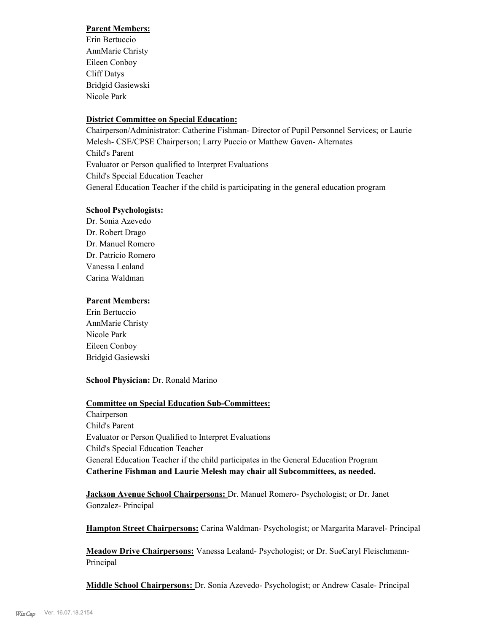### **Parent Members:**

Erin Bertuccio AnnMarie Christy Eileen Conboy Cliff Datys Bridgid Gasiewski Nicole Park

# **District Committee on Special Education:**

Chairperson/Administrator: Catherine Fishman- Director of Pupil Personnel Services; or Laurie Melesh- CSE/CPSE Chairperson; Larry Puccio or Matthew Gaven- Alternates Child's Parent Evaluator or Person qualified to Interpret Evaluations Child's Special Education Teacher General Education Teacher if the child is participating in the general education program

#### **School Psychologists:**

Dr. Sonia Azevedo Dr. Robert Drago Dr. Manuel Romero Dr. Patricio Romero Vanessa Lealand Carina Waldman

### **Parent Members:**

Erin Bertuccio AnnMarie Christy Nicole Park Eileen Conboy Bridgid Gasiewski

### **School Physician:** Dr. Ronald Marino

#### **Committee on Special Education Sub-Committees:**

Chairperson Child's Parent Evaluator or Person Qualified to Interpret Evaluations Child's Special Education Teacher General Education Teacher if the child participates in the General Education Program **Catherine Fishman and Laurie Melesh may chair all Subcommittees, as needed.**

**Jackson Avenue School Chairpersons:** Dr. Manuel Romero- Psychologist; or Dr. Janet Gonzalez- Principal

**Hampton Street Chairpersons:** Carina Waldman- Psychologist; or Margarita Maravel- Principal

**Meadow Drive Chairpersons:** Vanessa Lealand- Psychologist; or Dr. SueCaryl Fleischmann-Principal

**Middle School Chairpersons:** Dr. Sonia Azevedo- Psychologist; or Andrew Casale- Principal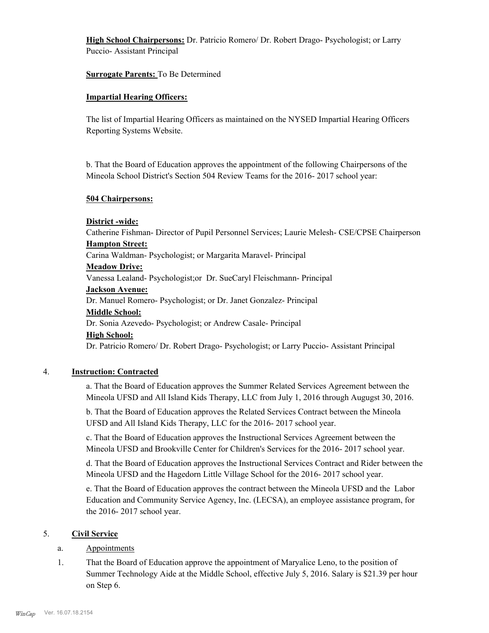**High School Chairpersons:** Dr. Patricio Romero/ Dr. Robert Drago- Psychologist; or Larry Puccio- Assistant Principal

#### **Surrogate Parents:** To Be Determined

#### **Impartial Hearing Officers:**

The list of Impartial Hearing Officers as maintained on the NYSED Impartial Hearing Officers Reporting Systems Website.

b. That the Board of Education approves the appointment of the following Chairpersons of the Mineola School District's Section 504 Review Teams for the 2016- 2017 school year:

#### **504 Chairpersons:**

#### **District -wide:**

Catherine Fishman- Director of Pupil Personnel Services; Laurie Melesh- CSE/CPSE Chairperson **Hampton Street:**

Carina Waldman- Psychologist; or Margarita Maravel- Principal

#### **Meadow Drive:**

Vanessa Lealand- Psychologist;or Dr. SueCaryl Fleischmann- Principal

#### **Jackson Avenue:**

Dr. Manuel Romero- Psychologist; or Dr. Janet Gonzalez- Principal

#### **Middle School:**

Dr. Sonia Azevedo- Psychologist; or Andrew Casale- Principal

#### **High School:**

Dr. Patricio Romero/ Dr. Robert Drago- Psychologist; or Larry Puccio- Assistant Principal

### 4. **Instruction: Contracted**

a. That the Board of Education approves the Summer Related Services Agreement between the Mineola UFSD and All Island Kids Therapy, LLC from July 1, 2016 through Augugst 30, 2016.

b. That the Board of Education approves the Related Services Contract between the Mineola UFSD and All Island Kids Therapy, LLC for the 2016- 2017 school year.

c. That the Board of Education approves the Instructional Services Agreement between the Mineola UFSD and Brookville Center for Children's Services for the 2016- 2017 school year.

d. That the Board of Education approves the Instructional Services Contract and Rider between the Mineola UFSD and the Hagedorn Little Village School for the 2016- 2017 school year.

e. That the Board of Education approves the contract between the Mineola UFSD and the Labor Education and Community Service Agency, Inc. (LECSA), an employee assistance program, for the 2016- 2017 school year.

### 5. **Civil Service**

#### a. Appointments

That the Board of Education approve the appointment of Maryalice Leno, to the position of Summer Technology Aide at the Middle School, effective July 5, 2016. Salary is \$21.39 per hour on Step 6. 1.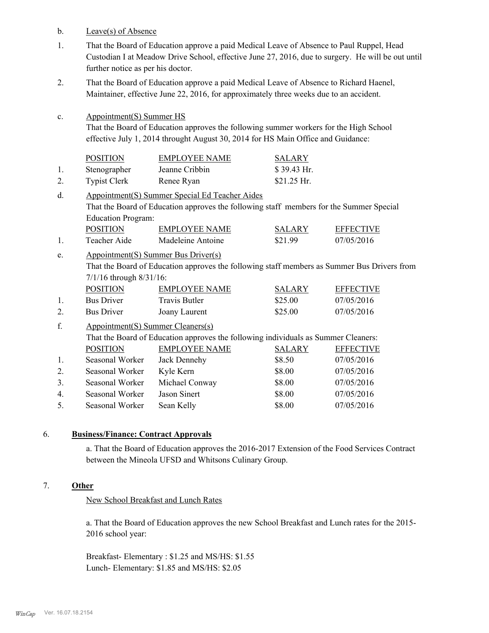b. Leave(s) of Absence

c.

- That the Board of Education approve a paid Medical Leave of Absence to Paul Ruppel, Head Custodian I at Meadow Drive School, effective June 27, 2016, due to surgery. He will be out until further notice as per his doctor. 1.
- That the Board of Education approve a paid Medical Leave of Absence to Richard Haenel, Maintainer, effective June 22, 2016, for approximately three weeks due to an accident. 2.
	- Appointment(S) Summer HS That the Board of Education approves the following summer workers for the High School effective July 1, 2014 throught August 30, 2014 for HS Main Office and Guidance:

|    | <b>POSITION</b>     | <b>EMPLOYEE NAME</b> | <b>SALARY</b> |
|----|---------------------|----------------------|---------------|
|    | Stenographer        | Jeanne Cribbin       | $$39.43$ Hr.  |
| 2. | <b>Typist Clerk</b> | Renee Ryan           | $$21.25$ Hr.  |

- Appointment(S) Summer Special Ed Teacher Aides That the Board of Education approves the following staff members for the Summer Special Education Program: d. POSITION EMPLOYEE NAME SALARY EFFECTIVE
- 1. Teacher Aide Madeleine Antoine \$21.99 07/05/2016
- Appointment(S) Summer Bus Driver(s) That the Board of Education approves the following staff members as Summer Bus Drivers from 7/1/16 through 8/31/16: e.

| <b>POSITION</b>   | EMPLOYEE NAME | <b>SALARY</b> | <b>EFFECTIVE</b> |
|-------------------|---------------|---------------|------------------|
| <b>Bus Driver</b> | Travis Butler | \$25.00       | 07/05/2016       |
| <b>Bus Driver</b> | Joany Laurent | \$25.00       | 07/05/2016       |

Appointment(S) Summer Cleaners(s) That the Board of Education approves the following individuals as Summer Cleaners: f. POSITION EMPLOYEE NAME SALARY EFFECTIVE 1. Seasonal Worker Jack Dennehy \$8.50 07/05/2016 2. Seasonal Worker Kyle Kern \$8.00 07/05/2016 3. Seasonal Worker Michael Conway \$8.00 07/05/2016 4. Seasonal Worker Jason Sinert \$8.00 07/05/2016 5. Seasonal Worker Sean Kelly \$8.00 07/05/2016

### 6. **Business/Finance: Contract Approvals**

a. That the Board of Education approves the 2016-2017 Extension of the Food Services Contract between the Mineola UFSD and Whitsons Culinary Group.

### 7. **Other**

New School Breakfast and Lunch Rates

a. That the Board of Education approves the new School Breakfast and Lunch rates for the 2015- 2016 school year:

Breakfast- Elementary : \$1.25 and MS/HS: \$1.55 Lunch- Elementary: \$1.85 and MS/HS: \$2.05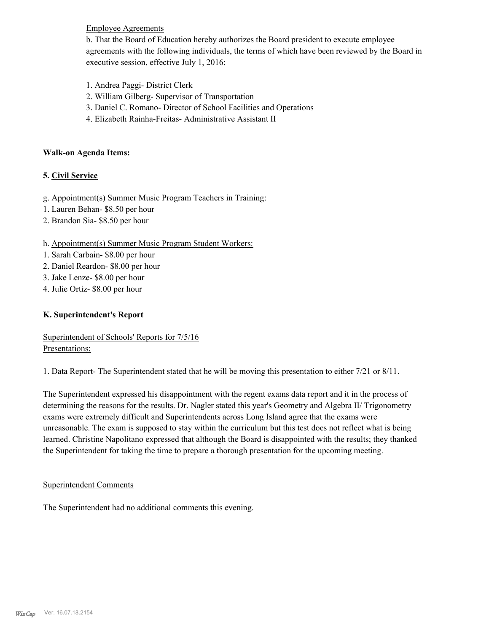# Employee Agreements

b. That the Board of Education hereby authorizes the Board president to execute employee agreements with the following individuals, the terms of which have been reviewed by the Board in executive session, effective July 1, 2016:

- 1. Andrea Paggi- District Clerk
- 2. William Gilberg- Supervisor of Transportation
- 3. Daniel C. Romano- Director of School Facilities and Operations
- 4. Elizabeth Rainha-Freitas- Administrative Assistant II

#### **Walk-on Agenda Items:**

# **5. Civil Service**

- g. Appointment(s) Summer Music Program Teachers in Training:
- 1. Lauren Behan- \$8.50 per hour
- 2. Brandon Sia- \$8.50 per hour

### h. Appointment(s) Summer Music Program Student Workers:

- 1. Sarah Carbain- \$8.00 per hour
- 2. Daniel Reardon- \$8.00 per hour
- 3. Jake Lenze- \$8.00 per hour
- 4. Julie Ortiz- \$8.00 per hour

### **K. Superintendent's Report**

Superintendent of Schools' Reports for 7/5/16 Presentations:

1. Data Report- The Superintendent stated that he will be moving this presentation to either 7/21 or 8/11.

The Superintendent expressed his disappointment with the regent exams data report and it in the process of determining the reasons for the results. Dr. Nagler stated this year's Geometry and Algebra II/ Trigonometry exams were extremely difficult and Superintendents across Long Island agree that the exams were unreasonable. The exam is supposed to stay within the curriculum but this test does not reflect what is being learned. Christine Napolitano expressed that although the Board is disappointed with the results; they thanked the Superintendent for taking the time to prepare a thorough presentation for the upcoming meeting.

### Superintendent Comments

The Superintendent had no additional comments this evening.